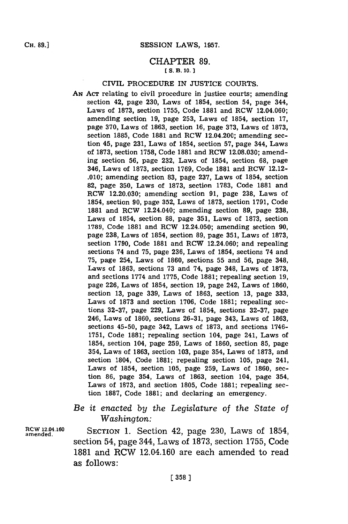#### CHAPTER **89. [ S. B. 10.1**

#### CIVIL PROCEDURE IN **JUSTICE COURTS.**

**AN ACT** relating to civil procedure in justice courts; amending section 42, page **230,** Laws of 1854, section 54, page 344, Laws of **1873,** section **1755,** Code **1881** and ROW 12.04.060; amending section **19,** page **253,** Laws of 1854, section **17,** page **370,** Laws of **1863,** section **16,** page **373,** Laws of **1873,** section **1885,** Code **1881** and ROW 12.04.200; amending section 45, page **231,** Laws of 1854, section **57,** page 344, Laws of **1873,** section **1758,** Code **1881** and ROW **12.08.030;** amending section **56,** page **232,** Laws of 1854, section **68,** page 346, Laws of **1873,** section **1769,** Code **1881** and ROW 12.12- **.010;** amending section **83,** page **237,** Laws of 1854, section **82,** page **350,** Laws of **1873,** section **1783,** Code **1881** and ROW **12.20.030;** amending section **91,** page **238,** Laws of 1854, section **90,** page **352,** Laws of **1873,** section **1791,** Code **1881** and ROW 12.24.040; amending section **89,** page **238,** Laws of 1854, section **88,** page **351,** Laws of **1873,** section **1789,** Code **1881** and ROW 12.24.050; amending section **90,** page **238,** Laws of 1854, section **89,** page **351,** Laws of **1873,** section **1790,** Code **1881** and ROW 12.24.060; and repealing sections 74 and **75,** page **236,** Laws of 1854, sections 74 and **75,** page 254, Laws of **1860,** sections **55** and **56,** page 348, Laws of **1863,** sections **73** and 74, page 348, Laws of **1873,** and sections **1774** and **1775,** Code **1881;** repealing section **19,** page **226,** Laws of 1854, section **19,** page 242, Laws of **1860,** section **13,** page **339,** Laws of **1863,** section **13,** page **333,** Laws of **1873** and section **1706,** Code **1881;** repealing sections **32-37,** page **229,** Laws of 1854, sections **32-37,** page 246, Laws of **1860,** sections **26-31,** page 343, Laws of **1863,** sections 45-50, page 342, Laws of **1873,** and sections 1746- **1751,** Code **1881;** repealing section 104, page 241, Laws of 1854, section 104, page **259,** Laws of **1860,** section **85,** page 354, Laws of **1863,** section **103,** page 354, Laws of **1873,** and section 1804, Code **1881;** repealing section **105,** page 241, Laws of 1854, section **105,** page **259,** Laws of **1860,** section **86,** page 354, Laws of **1863,** section 104, page 354, Laws of **1873,** and section **1805,** Code **1881;** repealing section **1887,** Code **1881;** and declaring an emergency.

## *Be it enacted by the Legislature of the State of Washington:*

**RCW 12.04.160 SECTION 1.** Section 42, page 230, Laws of 1854, section 54, page 344, Laws of **1873,** section **1755,** Code **1881** and RCW 12.04.160 are each amended to read as follows: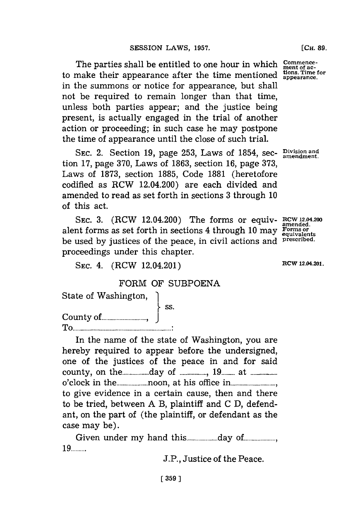The parties shall be entitled to one hour in which to make their appearance after the time mentioned in the summons or notice for appearance, but shall not be required to remain longer than that time, unless both parties appear; and the justice being present, is actually engaged in the trial of another action or proceeding; in such case he may postpone the time of appearance until the close of such trial.

**SEC.** 2. Section **19,** page **253,** Laws of 1854, sec- **Division and** tion 17, page 370, Laws of 1863, section 16, page 373, Laws of **1873,** section **1885,** Code **1881** (heretofore codified as RCW 12.04.200) are each divided and amended to read as set forth in sections **3** through **10** of this act.

**SEC. 3.** (RCW 12.04.200) The forms or equiv-**RCW 12.04.200 amended.** alent forms as set forth in sections 4 through **10** may **Forms or equivalents** be used **by** justices of the peace, in civil actions and **prescribed.** proceedings under this chapter.

**SEC.** 4. (RCW 12.04.201)

# FORM OF **SUBPOENA**

State of Washington,

County of **...............** Ti, **ss.**

In the name of the state of Washington, you are hereby required to appear before the undersigned, one of the justices of the peace in and for said county, on the **..........day** of **........... 19.... ..** at **.......** o'clock in the **............** noon, at his office in **................** to give evidence in a certain cause, then and there to be tried, between **A** B, plaintiff and **C D,** defendant, on the part of (the plaintiff, or defendant as the case may be).

Given under my hand this **.................................**, **19......**

**J.P.,** Justice of the Peace.

**[ 359]**

**[CH. 89.**

**Commence-ment of ac- tions. Time for appearance.**

**RCW 12.04.201.**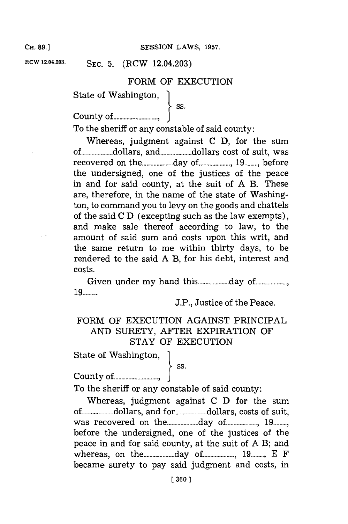**RCW 12.04.203. SEC. 5.** (RCW 12.04.203)

### FORM OF EXECUTION

**Sss.**

State of Washington,

County of **.................. , IJ**

To the sheriff or any constable of said county:

Whereas, judgment against **C D,** for the sum of **............** dollars, and **............** dollars cost of suit, was recovered on the **............** day **of............. 19.....before** the undersigned, one of the justices of the peace in and for said county, at the suit of **A** B. These are, therefore, in the name of the state of Washington, to command you to levy on the goods and chattels of the said **C D** (excepting such as the law exempts), and make sale thereof according to law, to the amount of said sum and costs upon this writ, and the same return to me within thirty days, to be rendered to the said A B, for his debt, interest and costs.

Given under my hand this and this we also of the same of  $\alpha$ **19......**

**J.P.,** Justice of the Peace.

# FORM OF EXECUTION AGAINST PRINCIPAL **AND** SURETY, AFTER EXPIRATION OF STAY OF EXECUTION

State of Washington, **I**

**Sss.**

County of **.................. , IJ**

To the sheriff or any constable of said county:

Whereas, judgment against **C D** for the sum of **............** dollars, and **for ............** dollars, costs of suit, was recovered on the **.........day** of **......... 19....** before the undersigned, one of the justices of the peace in and for said county, at the suit of **A** B; and whereas, on the **.........day** of **.............. 19 .... E** F became surety to pay said judgment and costs, in

**CH. 89.1**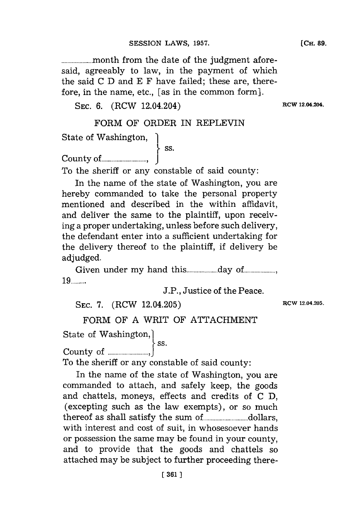month from the date of the judgment aforesaid, agreeably to law, in the payment of which the said **C D** and **E** F have failed; these are, therefore, in the name, etc., [as in the common form].

SEC. 6. (RCW 12.04.204) RCW 12.04.204.

FORM OF ORDER **IN** REPLEVIN State of Washington, **I Sss.**

County **of..................., IJ**

To the sheriff or any constable of said county:

In the name of the state of Washington, you are hereby commanded to take the personal property mentioned and described in the within affidavit, and deliver the same to the plaintiff, upon receiving a proper undertaking, unless before such delivery, the defendant enter into a sufficient undertaking **for** the delivery thereof to the plaintiff, if delivery be adjudged.

Given under my hand this <u>*and*</u> this **.................** day of *...................* **19......**

**J.P.,** Justice of the Peace.

SEC. 7. (RCW 12.04.205) RCW 12.04.205.

FORM OF **A** WRIT OF **ATTACHMENT**

State of Washington,

County of **................. t s**

To the sheriff or any constable of said county:

In the name of the state of Washington, you are commanded to attach, and safely keep, the goods and chattels, moneys, effects and credits of **C D,** (excepting such as the law exempts), or so much thereof as shall satisfy the sum **of...................** dollars, with interest and cost of suit, in whosesoever hands or possession the same may be found in your county, and to provide that the goods and chattels so attached may be subject to further proceeding there**ECK. 89.**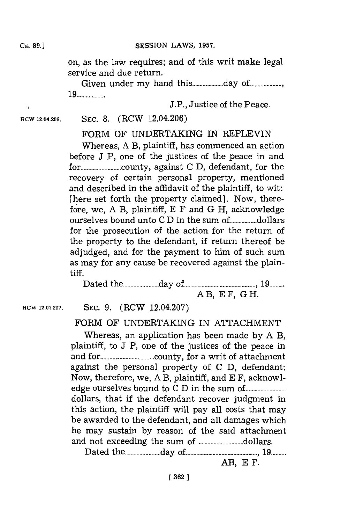on, as the law requires; and of this writ make legal service and due return.

Given under my hand **this.............** day **of............ 19 ..........**

**J.P.,** Justice of the Peace.

### **1CW 12.04.206. SEC. 8.** (ROW 12.04.206)

## FORM OF UNDERTAKING IN REPLEVIN

Whereas, **A** B, plaintiff, has commenced an action before **J** P, one of the justices of the peace in and **for.................** county, against **C D,** defendant, for the recovery of certain personal property, mentioned and described in the affidavit of the plaintiff, to wit: [here set forth the property claimed]. Now, therefore, we, **A** B, plaintiff, **E** F and **G** H, acknowledge ourselves bound unto **C D** in the sum **of...........** dollars for the prosecution of the action for the return of the property to the defendant, if return thereof be adjudged, and for the payment to him of such sum as may for any cause be recovered against the plaintiff.

Dated the **............day** of **................................ 19......** AB, **EF, GH.**

**RCW 12.04.207. SEC. 9.** (RCW 12.04.207)

#### FORM OF UNDERTAKING IN **ATTACHMENT**

Whereas, an application has been made **by A** B, plaintiff, to **J** P, one of the justices of the peace in and for **.......................** county, for a writ of attachment against the personal property of **C D,** defendant; Now, therefore, we, **A** B, plaintiff, and **E** F, acknowledge ourselves bound to C D in the sum of *manuuuu* dollars, that if the defendant recover judgment in this action, the plaintiff will pay all costs that may be awarded to the defendant, and all damages which he may sustain **by** reason of the said attachment and not exceeding the sum **of...................** dollars.

Dated the **............day** of **................................ 19....**

AB, **E** F.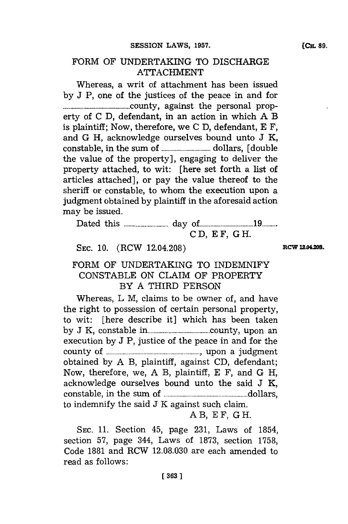# FORM OF UNDERTAKING TO DISCHARGE **ATTACHMENT**

Whereas, a writ of attachment has been issued **by J** P, one of the justices of the peace in and for **........................county,** against the personal property of **C D,** defendant, in an action in which **A** B is plaintiff; Now, therefore, we **C D,** defendant, **E** F, and **G** H, acknowledge ourselves bound unto **J** K, constable, in the sum of **....................** dollars, [double the value of the property], engaging to deliver the property attached, to wit: [here set forth a list of articles attached], or pay the value thereof to the sheriff or constable, to whom the execution upon a judgment obtained **by** plaintiff in the aforesaid action may be issued.

Dated this **................ day of....................... 19...... CD, EF, Gil.**

SEC. 10. (RCW 12.04.208) RCW 12.04.208.

## FORM OF UNDERTAKING TO INDEMNIFY **CONSTABLE ON** CLAIM OF PROPERTY BY **A** THIRD PERSON

Whereas, L M, claims to be owner of, and have the right to possession of certain personal property, to wit: [here describe it] which has been taken **by J** K, constable **in..........................** county, upon an execution **by J** P, justice of the peace in and for the county **of.........................................,** upon a judgment obtained **by A** B, plaintiff, against **CD,** defendant; Now, therefore, we, **A** B, plaintiff **, E** F, and **G** H, acknowledge ourselves bound unto the said **J** K, constable, in the sum **of.....................................** dollars, to indemnify the said **J** K against such claim. AB, **EF, GH.**

**SEC. 11.** Section 45, page **231,** Laws of 1854, section **57,** page 344, Laws of **1873,** section **1758,** Code **1881** and RCW **12.08.030** are each amended to read as follows:

(CIL **89.**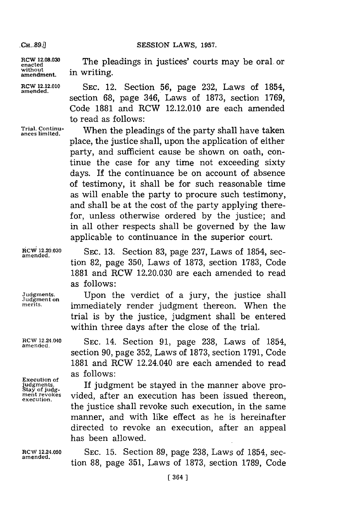#### .CH.89. **~SESSION** LAWS, **1957.**

**.CH\_89J**

**RCW 12.08.030 enacted without amendment.**

**RCW 12.12.010 amended.**

**Trial. Continu-ances limited.**

The pleadings in justices' courts may be oral. or in writing.

SEC. 12. Section **56,** page **232,** Laws of 1854, section **68,** page 346, Laws of **1873,** section **1769,** Code **1881** and RCW 12.12.010 are each amended to read as follows:

When the pleadings of the party shall have taken place, the justice shall, upon the application of either party, and sufficient cause be shown on oath, continue the case for any time not exceeding sixty days. **If** the continuance be on account of absence of testimony, it shall be for such reasonable time as will enable the party to procure such testimony, and shall be at the cost of the party applying therefor, unless otherwise ordered **by** the justice; and in all other respects shall be governed **by** the law applicable to continuance in the superior court.

tion **82,** page **350,** Laws of **1873,** section **1783,** Code **1881** and RCW **12.20.030** are each amended to read

**RiCW 12.20.030 SEC. 13.** Section **83,** page **237,** Laws of 1854, sec**amended.**

Judgments. **Upon** the verdict of a jury, the justice shall merits. **immediately render judgment thereon.** When the

as follows:

**Execution of judgments. Stay of judg- men t revokes execution.**

**ItCW 12.24.040 SEC.** 14. Section **91,** page **238,** Laws of 1854, **amended.** section **90,** page **352,** Laws of **1873,** section **1791,** Code **1881** and RCW 12.24.040 are each amended to read as follows:

trial is **by** the justice, judgment shall be entered

within three days after the close of the trial.

If judgment be stayed in the manner above provided, after an execution has been issued thereon, the justice shall revoke such execution, in the same manner, and with like effect as he is hereinafter directed to revoke an execution, after an appeal has been allowed.

**1tCW 12.24.050 SEC. 15.** Section **89,** page **238,** Laws of 1854, sec**amended.** tion **88,** page **351,** Laws of **1873,** section **1789,** Code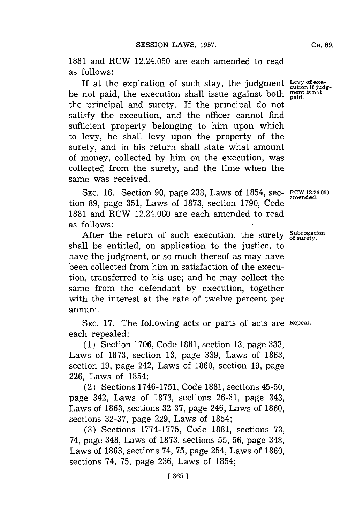**1881** and RCW 12.24.050 are each amended to read as follows:

If at the expiration of such stay, the judgment Levy of exebe not paid, the execution shall issue against both the principal and surety. If the principal do not satisfy the execution, and the officer cannot find sufficient property belonging to him upon which to levy, he shall levy upon the property of the surety, and in his return shall state what amount of money, collected **by** him on the execution, was collected from the surety, and the time when the same was received.

**SEC. 16.** Section **90,** page **238,** Laws of 1854, sec- **RCW 12.24.060** tion **89,** page **351,** Laws of **1873,** section **1790,** Code **1881** and RCW 12.24.060 are each amended to read as follows:

After the return of such execution, the surety  $\frac{\text{Subrogation}}{\text{of suretv}}$ . shall be entitled, on application to the justice, to have the judgment, or so much thereof as may have been collected from him in satisfaction of the execution, transferred to his use; and he may collect the same from the defendant **by** execution, together with the interest at the rate of twelve percent per annum.

SEC. 17. The following acts or parts of acts are Repeal. each repealed:

**(1)** Section **1706,** Code **1881,** section **13,** page **333,** Laws of **1873,** section **13,** page **339,** Laws of **1863,** section **19,** page 242, Laws of **1860,** section **19,** page **226,** Laws of 1854;

(2) Sections **1746-1751,** Code **1881,** sections 45-50, page 342, Laws of **1873,** sections **26-31,** page 343, Laws of **1863,** sections **32-37,** page 246, Laws of **1860,** sections **32-37,** page **229,** Laws of 1854;

**(3)** Sections **1774-1775,** Code **1881,** sections **73,** 74, page 348, Laws of **1873,** sections **55, 56,** page 348, Laws of **1863,** sections 74, **75,** page 254, Laws of **1860,** sections 74, **75,** page **236,** Laws of 1854;

**amended.**

[CH. **89.**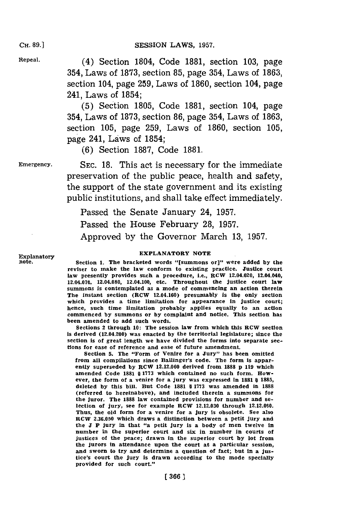Repeal. (4) Section 1804, Code **1881,** section **103,** page 354, Laws of **1873,** section **85,** page 354, Laws of **1863,** section 104, page **259,** Laws of **1860,** section 104, page 241, Laws of 1854;

> **(5)** Section **1805,** Code **1881,** section 104, page 354, Laws of **1873,** section **86,** page 354, Laws of **1863,** section **105,** page **259,** Laws of **1860,** section **105,** page 241, Laws of 1854;

**(6)** Section **1887,** Code **1881.**

Emergency. **SEC. 18.** This act is necessary for the immediate preservation of the public peace, health and safety, the support of the state government and its existing public institutions, and shall take effect immediately.

> Passed the Senate January 24, **1957.** Passed the House February **28, 1957.** Approved **by** the Governor March **13, 1957.**

#### Explanatory EXPLANATORY **NOTE**

note. Section **1.** The bracketed words "[summons or]" were added **by** the reviser to make the law conform to existing practice. Justice court law presently provides such a procedure, i.e., RCW 12.04.020, 12.04.040, 12.04.070, 12.04.080, 12.04.100, etc. Throughout the justice court law summons is contemplated as a mode of commencing an action therein The instant section (RCW 12.04.160) presumably is the only section which provides a time limitation for appearance in justice court; hence, such time limitation probably applies equally to an action commenced **by** summons or **by** complaint and notice. This section has been amended to add such words.

Sections 2 through **10:** The session law from which this RCW section is derived (12.04.200) was enacted **by** the territorial legislature; since the section is of great length we have divided the forms into separate sections for ease of reference and ease of future amendment.

Section **5.** The "Form of Venire for a Jury" has been omitted from all compilations since Ballinger's code. The form is apparently superseded **by** RCW **12.12.060** derived from **1888 p 119** which amended Code **1881 § 1773** which contained no such form. However, the form of a venire for a jury was expressed in **1881** 8 **1885,** deleted **by** this bill. But Code **1881 § 1773** was amended in **1888** (referred to hereinabove), and included therein a summons for the juror. The **1888** law contained provisions for number and selection of jury, see for example RCW **12.12.030** through **12.12.060.** Thus, the old form for a venire for a jury is obsolete. See also RCW **2.36.050** which draws a distinction between a petit jury and the **J** P jury in that "a petit jury Is a body of men twelve in number In the superior court and six in number in courts of justices of the peace; drawn in the superior court **by** lot from the jurors in attendance upon the court at a particular session, and sworn to try and determine a question of fact; but in a justice's court the jury is drawn according to the mode specially provided for such court."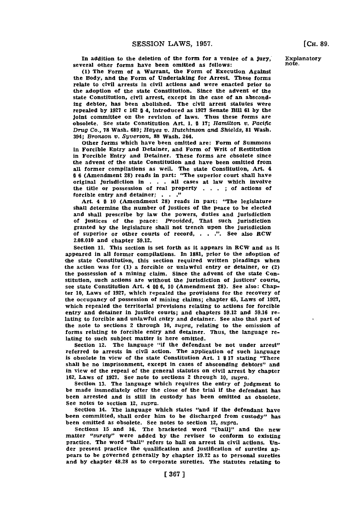In addition to the deletion of the form for a venire of a jury, Explanatory several other forms have been omitted as follows: note.

**(1)** The Form of a Warrant, the Form of Execution Against the Body, and the Form of Undertaking for Arrest. These forms relate to civil arrests in civil actions and were enacted prior to the adoption of the state Constitution. Since the advent of the state Constitution, civil arrest, except in the case of an absconding debtor, has been abolished. The civil arrest statutes were repealed **by 1927** c **162 §** 4, introduced as **1927** Senate **Bill 61 by** the joint committee on the revision of laws. Thus these forms are obsolete. See state Constitution Art. **1.** § **17;** *Hamilton* v. Pacific *Drug Co.,* **78** Wash. **689;** Hayes *v.* Hutchinson *and* Shields, **81** Wash. 394; Bronson v. *Syverson,* **88** Wash. 264.

Other forms which have been omitted are: Form of Summons in Forcible Entry and Detainer, and Form of Writ of Restitution in Forcible Entry and Detainer. These forms are obsolete since the advent of the state Constitution and have been omitted from all former compilations as well. The state Constitution, Art. 4 **§ 6** (Amendment **28)** reads in part: "The superior court shall have original jurisdiction in **. . .** all cases at law which involve the title or possession of real property **. . . ;** of actions of forcible entry and detainer; **. . .1**

Art. 4 **§ 10** (Amendment **28)** reads in part: "The legislature shall determine the number of justices of the peace to be elected and shall prescribe **by** law the powers, duties and jurisdiction of justices of the peace: *Provided,* That such jurisdiction granted **by** the legislature shall not trench upon the jurisdiction of superior or other courts of record, . . .". See also RCW **2.08.010** and chapter **59.12.**

Section **11.** This section is set forth as It appears in RCW and as it appeared in all former compilations. In **1881,** prior to the adoption of the state Constitution, this section required written pleadings when the action was for **(1)** a forcible or unlawful entry or detainer, or (2) the possession of a mining claim. Since the advent of the state Constitution, such actions are without the jurisdiction of justices' courts, see state Constitution Art. 4 **§§6, 10** (Amendment **28).** See also: Chapter **10,** Laws of **1927,** which repealed the provisions for the recovery of the occupancy of possession of mining claims; chapter **65,** Laws of **1927,** which repealed the territorial provisions relating to actions for forcible entry and detainer in justice courts; and chapters **59.12** and **59.16** relating to forcible and unlawful entry and detainer. See also that part of the note to sections 2 through **10,** *supra,* relating to the omission of forms relating to forcible entry and detainer. Thus, the language relating to such subject matter is here omitted.

Section 12. The language "if the defendant be not under arrest" referred to arrests in civil action. The application of such language is obsolete In view of the state Constitution Art. **1 § 17** stating "There shall be no imprisonment, except in cases of absconding debtors" and in view of the repeal of the general statutes on civil arrest **by** chapter **162,** Laws of **1927.** See note to sections 2 through **10,** *supra.*

Section **13.** The language which requires the entry of judgment to be made immediately ofter the close of the trial if the defendant has been arrested and is still in custody has been omitted as obsolete. See notes to section 12, *supra.*

Section 14. The language which states "and if the defendant have been committed, shall order him to be discharged from custody" has been omitted as obsolete. See notes to section 12, *supra.*

Sections **15** and **16.** The bracketed word "[bail]" and the new matter *"surety"* were added **by** the reviser to conform to existing practice. The word "ball" refers to ball on arrest in civil actions. Under present practice the qualification and justification of sureties appears to be governed generally **by** chapter **19.72** as to personal sureties and **by** chapter **48.28** as to corporate sureties. The statutes relating to